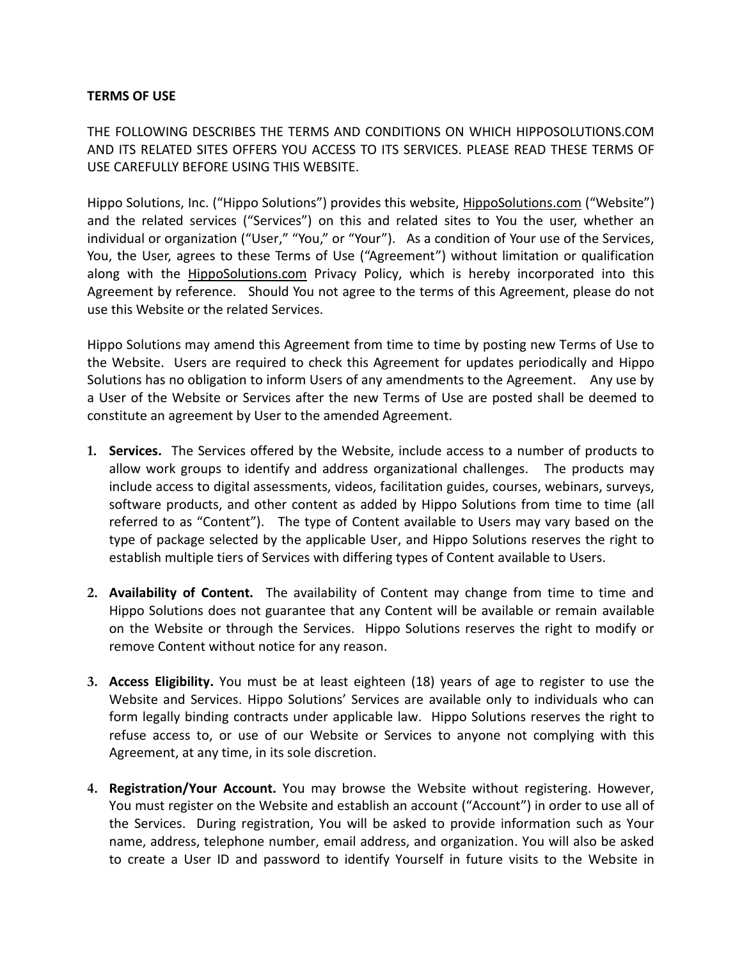## **TERMS OF USE**

THE FOLLOWING DESCRIBES THE TERMS AND CONDITIONS ON WHICH HIPPOSOLUTIONS.COM AND ITS RELATED SITES OFFERS YOU ACCESS TO ITS SERVICES. PLEASE READ THESE TERMS OF USE CAREFULLY BEFORE USING THIS WEBSITE.

Hippo Solutions, Inc. ("Hippo Solutions") provides this website, HippoSolutions.com ("Website") and the related services ("Services") on this and related sites to You the user, whether an individual or organization ("User," "You," or "Your"). As a condition of Your use of the Services, You, the User, agrees to these Terms of Use ("Agreement") without limitation or qualification along with the HippoSolutions.com Privacy Policy, which is hereby incorporated into this Agreement by reference. Should You not agree to the terms of this Agreement, please do not use this Website or the related Services.

Hippo Solutions may amend this Agreement from time to time by posting new Terms of Use to the Website. Users are required to check this Agreement for updates periodically and Hippo Solutions has no obligation to inform Users of any amendments to the Agreement. Any use by a User of the Website or Services after the new Terms of Use are posted shall be deemed to constitute an agreement by User to the amended Agreement.

- **1. Services.** The Services offered by the Website, include access to a number of products to allow work groups to identify and address organizational challenges. The products may include access to digital assessments, videos, facilitation guides, courses, webinars, surveys, software products, and other content as added by Hippo Solutions from time to time (all referred to as "Content"). The type of Content available to Users may vary based on the type of package selected by the applicable User, and Hippo Solutions reserves the right to establish multiple tiers of Services with differing types of Content available to Users.
- **2. Availability of Content.** The availability of Content may change from time to time and Hippo Solutions does not guarantee that any Content will be available or remain available on the Website or through the Services. Hippo Solutions reserves the right to modify or remove Content without notice for any reason.
- **3. Access Eligibility.** You must be at least eighteen (18) years of age to register to use the Website and Services. Hippo Solutions' Services are available only to individuals who can form legally binding contracts under applicable law. Hippo Solutions reserves the right to refuse access to, or use of our Website or Services to anyone not complying with this Agreement, at any time, in its sole discretion.
- **4. Registration/Your Account.** You may browse the Website without registering. However, You must register on the Website and establish an account ("Account") in order to use all of the Services. During registration, You will be asked to provide information such as Your name, address, telephone number, email address, and organization. You will also be asked to create a User ID and password to identify Yourself in future visits to the Website in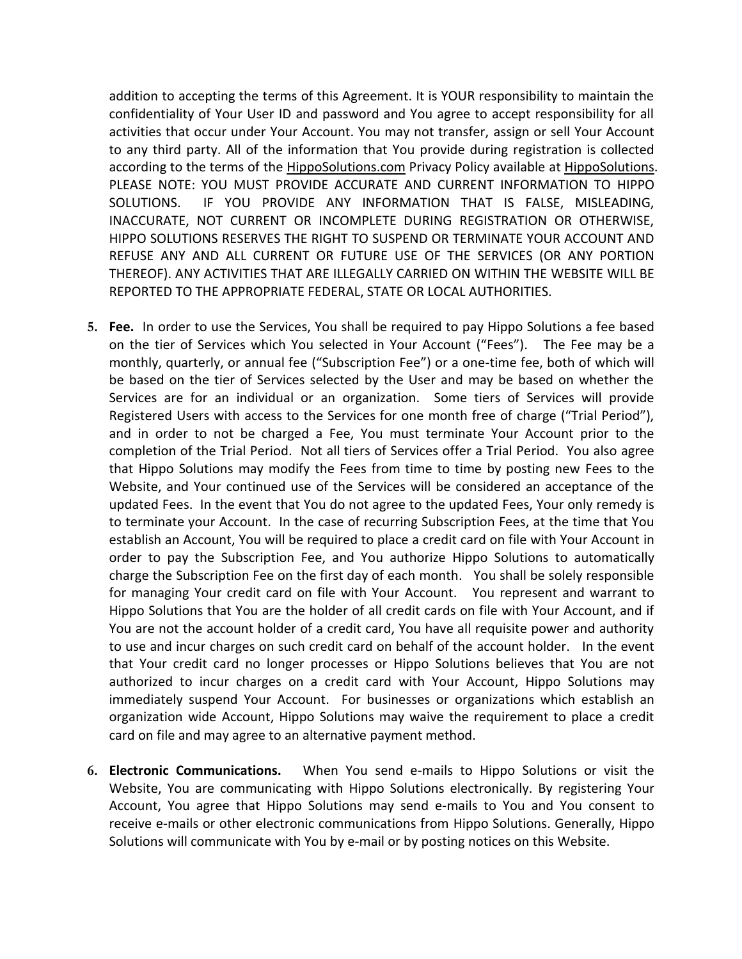addition to accepting the terms of this Agreement. It is YOUR responsibility to maintain the confidentiality of Your User ID and password and You agree to accept responsibility for all activities that occur under Your Account. You may not transfer, assign or sell Your Account to any third party. All of the information that You provide during registration is collected according to the terms of the HippoSolutions.com Privacy Policy available at HippoSolutions. PLEASE NOTE: YOU MUST PROVIDE ACCURATE AND CURRENT INFORMATION TO HIPPO SOLUTIONS. IF YOU PROVIDE ANY INFORMATION THAT IS FALSE, MISLEADING, INACCURATE, NOT CURRENT OR INCOMPLETE DURING REGISTRATION OR OTHERWISE, HIPPO SOLUTIONS RESERVES THE RIGHT TO SUSPEND OR TERMINATE YOUR ACCOUNT AND REFUSE ANY AND ALL CURRENT OR FUTURE USE OF THE SERVICES (OR ANY PORTION THEREOF). ANY ACTIVITIES THAT ARE ILLEGALLY CARRIED ON WITHIN THE WEBSITE WILL BE REPORTED TO THE APPROPRIATE FEDERAL, STATE OR LOCAL AUTHORITIES.

- **5. Fee.** In order to use the Services, You shall be required to pay Hippo Solutions a fee based on the tier of Services which You selected in Your Account ("Fees"). The Fee may be a monthly, quarterly, or annual fee ("Subscription Fee") or a one-time fee, both of which will be based on the tier of Services selected by the User and may be based on whether the Services are for an individual or an organization. Some tiers of Services will provide Registered Users with access to the Services for one month free of charge ("Trial Period"), and in order to not be charged a Fee, You must terminate Your Account prior to the completion of the Trial Period. Not all tiers of Services offer a Trial Period. You also agree that Hippo Solutions may modify the Fees from time to time by posting new Fees to the Website, and Your continued use of the Services will be considered an acceptance of the updated Fees. In the event that You do not agree to the updated Fees, Your only remedy is to terminate your Account. In the case of recurring Subscription Fees, at the time that You establish an Account, You will be required to place a credit card on file with Your Account in order to pay the Subscription Fee, and You authorize Hippo Solutions to automatically charge the Subscription Fee on the first day of each month. You shall be solely responsible for managing Your credit card on file with Your Account. You represent and warrant to Hippo Solutions that You are the holder of all credit cards on file with Your Account, and if You are not the account holder of a credit card, You have all requisite power and authority to use and incur charges on such credit card on behalf of the account holder. In the event that Your credit card no longer processes or Hippo Solutions believes that You are not authorized to incur charges on a credit card with Your Account, Hippo Solutions may immediately suspend Your Account. For businesses or organizations which establish an organization wide Account, Hippo Solutions may waive the requirement to place a credit card on file and may agree to an alternative payment method.
- **6. Electronic Communications.** When You send e-mails to Hippo Solutions or visit the Website, You are communicating with Hippo Solutions electronically. By registering Your Account, You agree that Hippo Solutions may send e-mails to You and You consent to receive e-mails or other electronic communications from Hippo Solutions. Generally, Hippo Solutions will communicate with You by e-mail or by posting notices on this Website.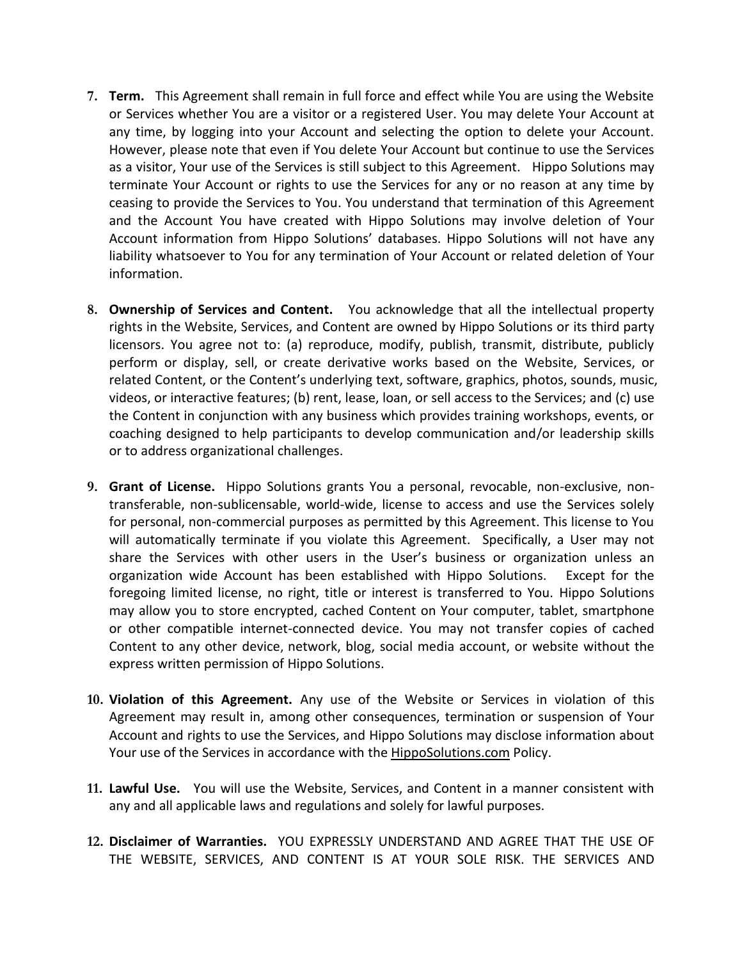- **7. Term.** This Agreement shall remain in full force and effect while You are using the Website or Services whether You are a visitor or a registered User. You may delete Your Account at any time, by logging into your Account and selecting the option to delete your Account. However, please note that even if You delete Your Account but continue to use the Services as a visitor, Your use of the Services is still subject to this Agreement. Hippo Solutions may terminate Your Account or rights to use the Services for any or no reason at any time by ceasing to provide the Services to You. You understand that termination of this Agreement and the Account You have created with Hippo Solutions may involve deletion of Your Account information from Hippo Solutions' databases. Hippo Solutions will not have any liability whatsoever to You for any termination of Your Account or related deletion of Your information.
- **8. Ownership of Services and Content.** You acknowledge that all the intellectual property rights in the Website, Services, and Content are owned by Hippo Solutions or its third party licensors. You agree not to: (a) reproduce, modify, publish, transmit, distribute, publicly perform or display, sell, or create derivative works based on the Website, Services, or related Content, or the Content's underlying text, software, graphics, photos, sounds, music, videos, or interactive features; (b) rent, lease, loan, or sell access to the Services; and (c) use the Content in conjunction with any business which provides training workshops, events, or coaching designed to help participants to develop communication and/or leadership skills or to address organizational challenges.
- **9. Grant of License.** Hippo Solutions grants You a personal, revocable, non-exclusive, nontransferable, non-sublicensable, world-wide, license to access and use the Services solely for personal, non-commercial purposes as permitted by this Agreement. This license to You will automatically terminate if you violate this Agreement. Specifically, a User may not share the Services with other users in the User's business or organization unless an organization wide Account has been established with Hippo Solutions. Except for the foregoing limited license, no right, title or interest is transferred to You. Hippo Solutions may allow you to store encrypted, cached Content on Your computer, tablet, smartphone or other compatible internet-connected device. You may not transfer copies of cached Content to any other device, network, blog, social media account, or website without the express written permission of Hippo Solutions.
- **10. Violation of this Agreement.** Any use of the Website or Services in violation of this Agreement may result in, among other consequences, termination or suspension of Your Account and rights to use the Services, and Hippo Solutions may disclose information about Your use of the Services in accordance with the **HippoSolutions.com Policy**.
- **11. Lawful Use.** You will use the Website, Services, and Content in a manner consistent with any and all applicable laws and regulations and solely for lawful purposes.
- **12. Disclaimer of Warranties.** YOU EXPRESSLY UNDERSTAND AND AGREE THAT THE USE OF THE WEBSITE, SERVICES, AND CONTENT IS AT YOUR SOLE RISK. THE SERVICES AND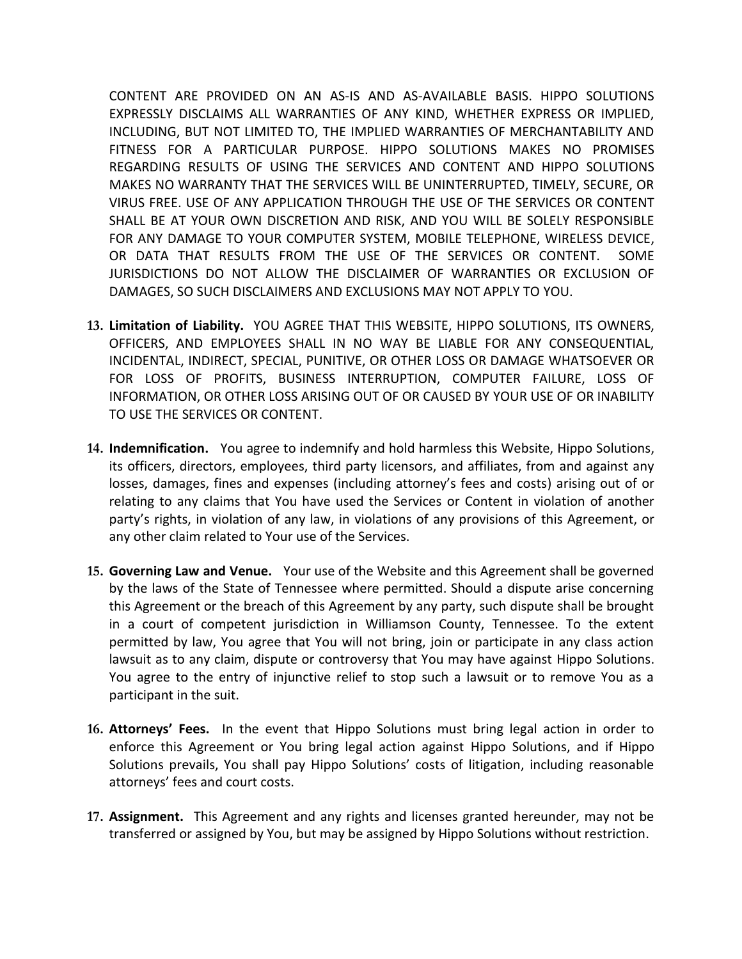CONTENT ARE PROVIDED ON AN AS-IS AND AS-AVAILABLE BASIS. HIPPO SOLUTIONS EXPRESSLY DISCLAIMS ALL WARRANTIES OF ANY KIND, WHETHER EXPRESS OR IMPLIED, INCLUDING, BUT NOT LIMITED TO, THE IMPLIED WARRANTIES OF MERCHANTABILITY AND FITNESS FOR A PARTICULAR PURPOSE. HIPPO SOLUTIONS MAKES NO PROMISES REGARDING RESULTS OF USING THE SERVICES AND CONTENT AND HIPPO SOLUTIONS MAKES NO WARRANTY THAT THE SERVICES WILL BE UNINTERRUPTED, TIMELY, SECURE, OR VIRUS FREE. USE OF ANY APPLICATION THROUGH THE USE OF THE SERVICES OR CONTENT SHALL BE AT YOUR OWN DISCRETION AND RISK, AND YOU WILL BE SOLELY RESPONSIBLE FOR ANY DAMAGE TO YOUR COMPUTER SYSTEM, MOBILE TELEPHONE, WIRELESS DEVICE, OR DATA THAT RESULTS FROM THE USE OF THE SERVICES OR CONTENT. SOME JURISDICTIONS DO NOT ALLOW THE DISCLAIMER OF WARRANTIES OR EXCLUSION OF DAMAGES, SO SUCH DISCLAIMERS AND EXCLUSIONS MAY NOT APPLY TO YOU.

- **13. Limitation of Liability.** YOU AGREE THAT THIS WEBSITE, HIPPO SOLUTIONS, ITS OWNERS, OFFICERS, AND EMPLOYEES SHALL IN NO WAY BE LIABLE FOR ANY CONSEQUENTIAL, INCIDENTAL, INDIRECT, SPECIAL, PUNITIVE, OR OTHER LOSS OR DAMAGE WHATSOEVER OR FOR LOSS OF PROFITS, BUSINESS INTERRUPTION, COMPUTER FAILURE, LOSS OF INFORMATION, OR OTHER LOSS ARISING OUT OF OR CAUSED BY YOUR USE OF OR INABILITY TO USE THE SERVICES OR CONTENT.
- **14. Indemnification.** You agree to indemnify and hold harmless this Website, Hippo Solutions, its officers, directors, employees, third party licensors, and affiliates, from and against any losses, damages, fines and expenses (including attorney's fees and costs) arising out of or relating to any claims that You have used the Services or Content in violation of another party's rights, in violation of any law, in violations of any provisions of this Agreement, or any other claim related to Your use of the Services.
- **15. Governing Law and Venue.** Your use of the Website and this Agreement shall be governed by the laws of the State of Tennessee where permitted. Should a dispute arise concerning this Agreement or the breach of this Agreement by any party, such dispute shall be brought in a court of competent jurisdiction in Williamson County, Tennessee. To the extent permitted by law, You agree that You will not bring, join or participate in any class action lawsuit as to any claim, dispute or controversy that You may have against Hippo Solutions. You agree to the entry of injunctive relief to stop such a lawsuit or to remove You as a participant in the suit.
- **16. Attorneys' Fees.** In the event that Hippo Solutions must bring legal action in order to enforce this Agreement or You bring legal action against Hippo Solutions, and if Hippo Solutions prevails, You shall pay Hippo Solutions' costs of litigation, including reasonable attorneys' fees and court costs.
- **17. Assignment.** This Agreement and any rights and licenses granted hereunder, may not be transferred or assigned by You, but may be assigned by Hippo Solutions without restriction.